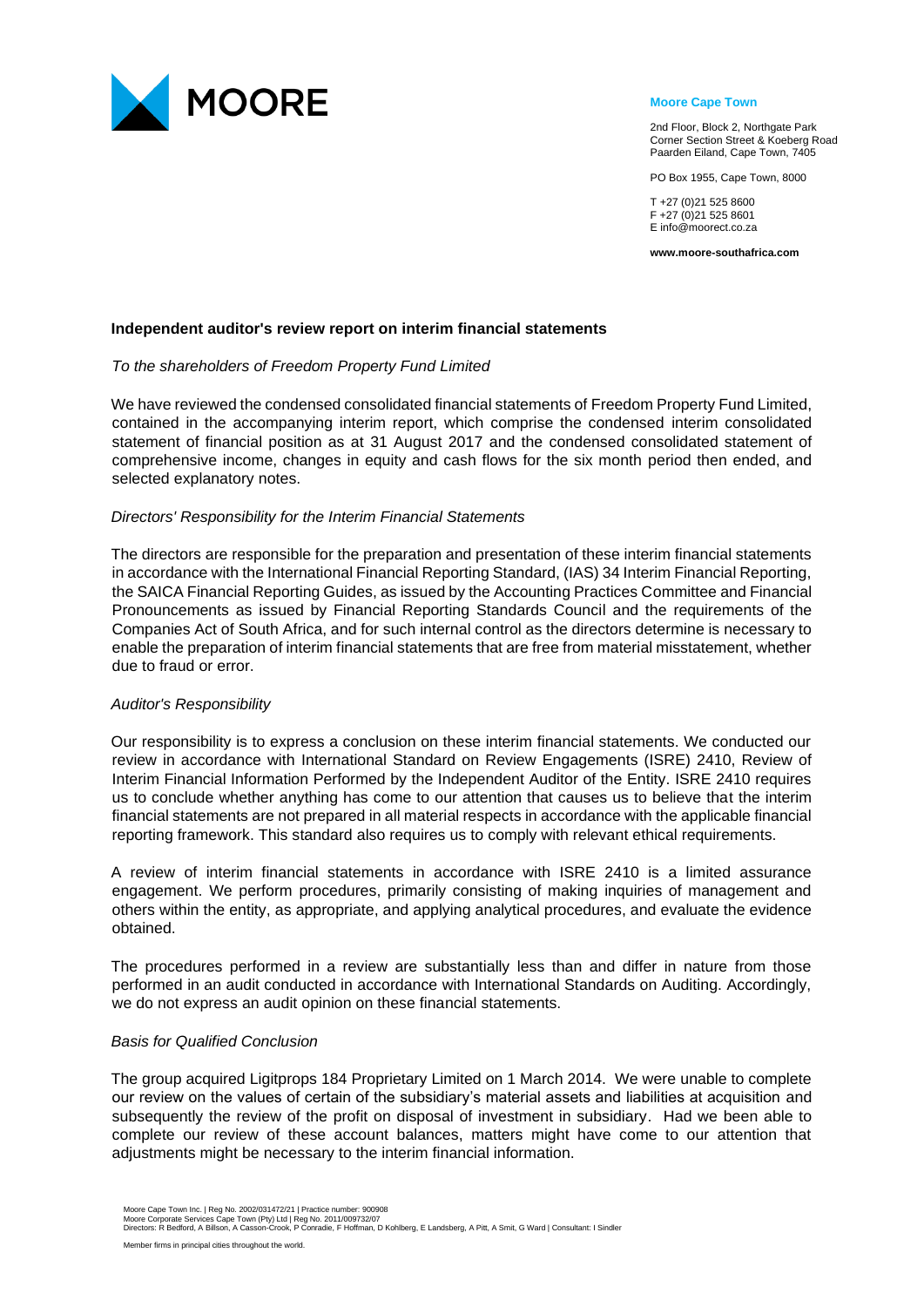

#### **Moore Cape Town**

2nd Floor, Block 2, Northgate Park Corner Section Street & Koeberg Road Paarden Eiland, Cape Town, 7405

PO Box 1955, Cape Town, 8000

T +27 (0)21 525 8600 F +27 (0)21 525 8601 E info@moorect.co.za

**www.moore-southafrica.com**

### **Independent auditor's review report on interim financial statements**

### *To the shareholders of Freedom Property Fund Limited*

We have reviewed the condensed consolidated financial statements of Freedom Property Fund Limited, contained in the accompanying interim report, which comprise the condensed interim consolidated statement of financial position as at 31 August 2017 and the condensed consolidated statement of comprehensive income, changes in equity and cash flows for the six month period then ended, and selected explanatory notes.

### *Directors' Responsibility for the Interim Financial Statements*

The directors are responsible for the preparation and presentation of these interim financial statements in accordance with the International Financial Reporting Standard, (IAS) 34 Interim Financial Reporting, the SAICA Financial Reporting Guides, as issued by the Accounting Practices Committee and Financial Pronouncements as issued by Financial Reporting Standards Council and the requirements of the Companies Act of South Africa, and for such internal control as the directors determine is necessary to enable the preparation of interim financial statements that are free from material misstatement, whether due to fraud or error.

## *Auditor's Responsibility*

Our responsibility is to express a conclusion on these interim financial statements. We conducted our review in accordance with International Standard on Review Engagements (ISRE) 2410, Review of Interim Financial Information Performed by the Independent Auditor of the Entity. ISRE 2410 requires us to conclude whether anything has come to our attention that causes us to believe that the interim financial statements are not prepared in all material respects in accordance with the applicable financial reporting framework. This standard also requires us to comply with relevant ethical requirements.

A review of interim financial statements in accordance with ISRE 2410 is a limited assurance engagement. We perform procedures, primarily consisting of making inquiries of management and others within the entity, as appropriate, and applying analytical procedures, and evaluate the evidence obtained.

The procedures performed in a review are substantially less than and differ in nature from those performed in an audit conducted in accordance with International Standards on Auditing. Accordingly, we do not express an audit opinion on these financial statements.

#### *Basis for Qualified Conclusion*

The group acquired Ligitprops 184 Proprietary Limited on 1 March 2014. We were unable to complete our review on the values of certain of the subsidiary's material assets and liabilities at acquisition and subsequently the review of the profit on disposal of investment in subsidiary. Had we been able to complete our review of these account balances, matters might have come to our attention that adjustments might be necessary to the interim financial information.